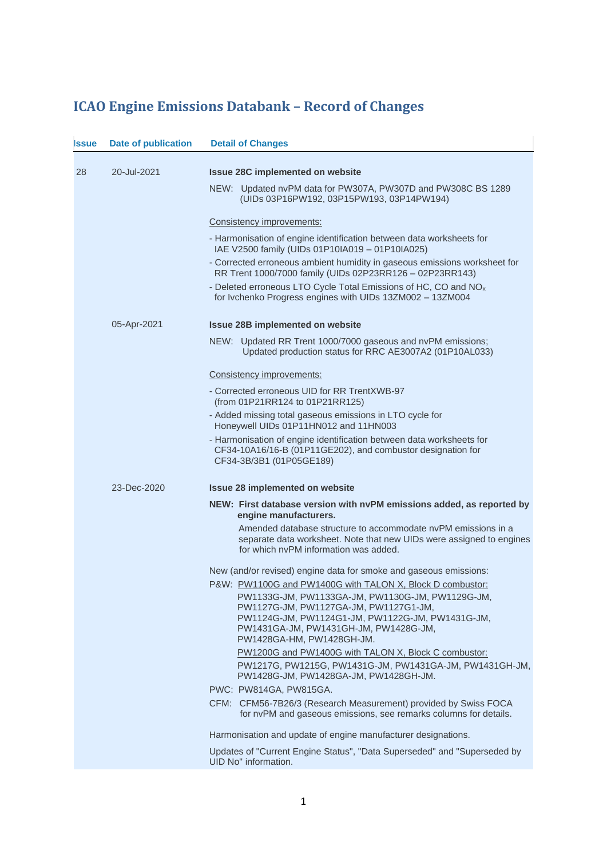## **ICAO Engine Emissions Databank – Record of Changes**

| <b>Issue</b> | <b>Date of publication</b> | <b>Detail of Changes</b>                                                                                                                                                                                            |
|--------------|----------------------------|---------------------------------------------------------------------------------------------------------------------------------------------------------------------------------------------------------------------|
| 28           | 20-Jul-2021                | <b>Issue 28C implemented on website</b>                                                                                                                                                                             |
|              |                            | NEW: Updated nvPM data for PW307A, PW307D and PW308C BS 1289<br>(UIDs 03P16PW192, 03P15PW193, 03P14PW194)                                                                                                           |
|              |                            | Consistency improvements:                                                                                                                                                                                           |
|              |                            | - Harmonisation of engine identification between data worksheets for<br>IAE V2500 family (UIDs 01P10IA019 - 01P10IA025)                                                                                             |
|              |                            | - Corrected erroneous ambient humidity in gaseous emissions worksheet for<br>RR Trent 1000/7000 family (UIDs 02P23RR126 - 02P23RR143)                                                                               |
|              |                            | - Deleted erroneous LTO Cycle Total Emissions of HC, CO and NO <sub>x</sub><br>for Ivchenko Progress engines with UIDs 13ZM002 - 13ZM004                                                                            |
|              | 05-Apr-2021                | <b>Issue 28B implemented on website</b>                                                                                                                                                                             |
|              |                            | NEW: Updated RR Trent 1000/7000 gaseous and nvPM emissions;<br>Updated production status for RRC AE3007A2 (01P10AL033)                                                                                              |
|              |                            | Consistency improvements:                                                                                                                                                                                           |
|              |                            | - Corrected erroneous UID for RR TrentXWB-97<br>(from 01P21RR124 to 01P21RR125)                                                                                                                                     |
|              |                            | - Added missing total gaseous emissions in LTO cycle for<br>Honeywell UIDs 01P11HN012 and 11HN003                                                                                                                   |
|              |                            | - Harmonisation of engine identification between data worksheets for<br>CF34-10A16/16-B (01P11GE202), and combustor designation for<br>CF34-3B/3B1 (01P05GE189)                                                     |
|              | 23-Dec-2020                | <b>Issue 28 implemented on website</b>                                                                                                                                                                              |
|              |                            | NEW: First database version with nvPM emissions added, as reported by<br>engine manufacturers.                                                                                                                      |
|              |                            | Amended database structure to accommodate nyPM emissions in a<br>separate data worksheet. Note that new UIDs were assigned to engines<br>for which nyPM information was added.                                      |
|              |                            | New (and/or revised) engine data for smoke and gaseous emissions:                                                                                                                                                   |
|              |                            | P&W: PW1100G and PW1400G with TALON X, Block D combustor:                                                                                                                                                           |
|              |                            | PW1133G-JM, PW1133GA-JM, PW1130G-JM, PW1129G-JM,<br>PW1127G-JM, PW1127GA-JM, PW1127G1-JM,<br>PW1124G-JM, PW1124G1-JM, PW1122G-JM, PW1431G-JM,<br>PW1431GA-JM, PW1431GH-JM, PW1428G-JM,<br>PW1428GA-HM, PW1428GH-JM. |
|              |                            | PW1200G and PW1400G with TALON X, Block C combustor:                                                                                                                                                                |
|              |                            | PW1217G, PW1215G, PW1431G-JM, PW1431GA-JM, PW1431GH-JM,<br>PW1428G-JM, PW1428GA-JM, PW1428GH-JM.                                                                                                                    |
|              |                            | PWC: PW814GA, PW815GA.                                                                                                                                                                                              |
|              |                            | CFM: CFM56-7B26/3 (Research Measurement) provided by Swiss FOCA<br>for nvPM and gaseous emissions, see remarks columns for details.                                                                                 |
|              |                            | Harmonisation and update of engine manufacturer designations.                                                                                                                                                       |
|              |                            | Updates of "Current Engine Status", "Data Superseded" and "Superseded by<br>UID No" information.                                                                                                                    |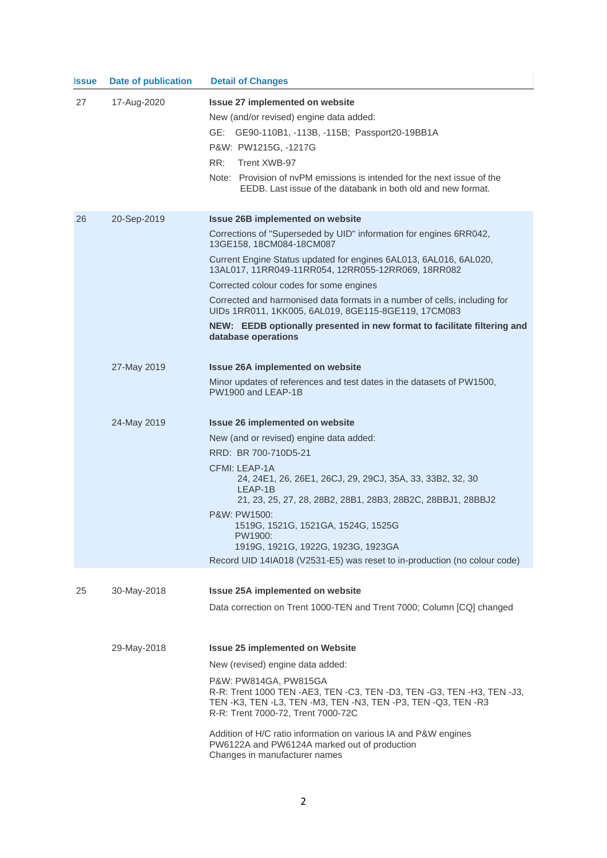| <b>Issue</b> | <b>Date of publication</b> | <b>Detail of Changes</b>                                                                                                                                                                                      |
|--------------|----------------------------|---------------------------------------------------------------------------------------------------------------------------------------------------------------------------------------------------------------|
| 27           | 17-Aug-2020                | Issue 27 implemented on website                                                                                                                                                                               |
|              |                            | New (and/or revised) engine data added:                                                                                                                                                                       |
|              |                            | GE:<br>GE90-110B1, -113B, -115B; Passport20-19BB1A                                                                                                                                                            |
|              |                            | P&W: PW1215G, -1217G                                                                                                                                                                                          |
|              |                            | RR:<br>Trent XWB-97                                                                                                                                                                                           |
|              |                            | Note: Provision of nyPM emissions is intended for the next issue of the<br>EEDB. Last issue of the databank in both old and new format.                                                                       |
| 26           | 20-Sep-2019                | <b>Issue 26B implemented on website</b>                                                                                                                                                                       |
|              |                            | Corrections of "Superseded by UID" information for engines 6RR042,<br>13GE158, 18CM084-18CM087                                                                                                                |
|              |                            | Current Engine Status updated for engines 6AL013, 6AL016, 6AL020,<br>13AL017, 11RR049-11RR054, 12RR055-12RR069, 18RR082                                                                                       |
|              |                            | Corrected colour codes for some engines                                                                                                                                                                       |
|              |                            | Corrected and harmonised data formats in a number of cells, including for<br>UIDs 1RR011, 1KK005, 6AL019, 8GE115-8GE119, 17CM083                                                                              |
|              |                            | NEW: EEDB optionally presented in new format to facilitate filtering and<br>database operations                                                                                                               |
|              | 27-May 2019                | <b>Issue 26A implemented on website</b>                                                                                                                                                                       |
|              |                            | Minor updates of references and test dates in the datasets of PW1500,<br>PW1900 and LEAP-1B                                                                                                                   |
|              | 24-May 2019                | <b>Issue 26 implemented on website</b>                                                                                                                                                                        |
|              |                            | New (and or revised) engine data added:                                                                                                                                                                       |
|              |                            | RRD: BR 700-710D5-21                                                                                                                                                                                          |
|              |                            | CFMI: LEAP-1A<br>24, 24E1, 26, 26E1, 26CJ, 29, 29CJ, 35A, 33, 33B2, 32, 30<br>LEAP-1B<br>21, 23, 25, 27, 28, 28B2, 28B1, 28B3, 28B2C, 28BBJ1, 28BBJ2                                                          |
|              |                            | P&W: PW1500:<br>1519G, 1521G, 1521GA, 1524G, 1525G                                                                                                                                                            |
|              |                            | PW1900:                                                                                                                                                                                                       |
|              |                            | 1919G, 1921G, 1922G, 1923G, 1923GA                                                                                                                                                                            |
|              |                            | Record UID 14IA018 (V2531-E5) was reset to in-production (no colour code)                                                                                                                                     |
| 25           | 30-May-2018                | Issue 25A implemented on website                                                                                                                                                                              |
|              |                            | Data correction on Trent 1000-TEN and Trent 7000; Column [CQ] changed                                                                                                                                         |
|              |                            |                                                                                                                                                                                                               |
|              | 29-May-2018                | <b>Issue 25 implemented on Website</b>                                                                                                                                                                        |
|              |                            | New (revised) engine data added:                                                                                                                                                                              |
|              |                            | P&W: PW814GA, PW815GA<br>R-R: Trent 1000 TEN -AE3, TEN -C3, TEN -D3, TEN -G3, TEN -H3, TEN -J3,<br>TEN - K3, TEN - L3, TEN - M3, TEN - N3, TEN - P3, TEN - Q3, TEN - R3<br>R-R: Trent 7000-72, Trent 7000-72C |
|              |                            | Addition of H/C ratio information on various IA and P&W engines<br>PW6122A and PW6124A marked out of production<br>Changes in manufacturer names                                                              |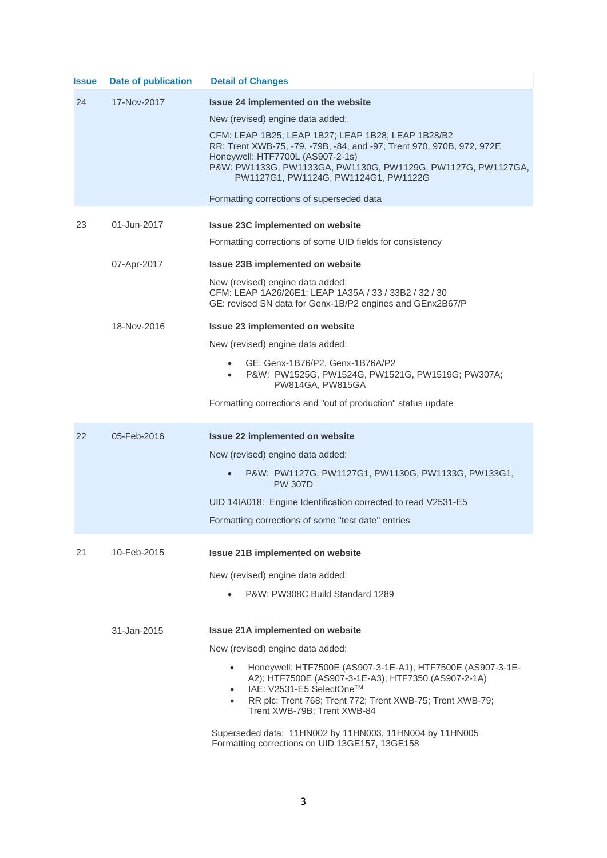| <b>Issue</b> | Date of publication | <b>Detail of Changes</b>                                                                                                                                                                                                                                                |
|--------------|---------------------|-------------------------------------------------------------------------------------------------------------------------------------------------------------------------------------------------------------------------------------------------------------------------|
| 24           | 17-Nov-2017         | Issue 24 implemented on the website                                                                                                                                                                                                                                     |
|              |                     | New (revised) engine data added:                                                                                                                                                                                                                                        |
|              |                     | CFM: LEAP 1B25; LEAP 1B27; LEAP 1B28; LEAP 1B28/B2<br>RR: Trent XWB-75, -79, -79B, -84, and -97; Trent 970, 970B, 972, 972E<br>Honeywell: HTF7700L (AS907-2-1s)<br>P&W: PW1133G, PW1133GA, PW1130G, PW1129G, PW1127G, PW1127GA,<br>PW1127G1, PW1124G, PW1124G1, PW1122G |
|              |                     | Formatting corrections of superseded data                                                                                                                                                                                                                               |
| 23           | 01-Jun-2017         | <b>Issue 23C implemented on website</b>                                                                                                                                                                                                                                 |
|              |                     | Formatting corrections of some UID fields for consistency                                                                                                                                                                                                               |
|              | 07-Apr-2017         | Issue 23B implemented on website                                                                                                                                                                                                                                        |
|              |                     | New (revised) engine data added:<br>CFM: LEAP 1A26/26E1; LEAP 1A35A / 33 / 33B2 / 32 / 30<br>GE: revised SN data for Genx-1B/P2 engines and GEnx2B67/P                                                                                                                  |
|              | 18-Nov-2016         | <b>Issue 23 implemented on website</b>                                                                                                                                                                                                                                  |
|              |                     | New (revised) engine data added:                                                                                                                                                                                                                                        |
|              |                     | GE: Genx-1B76/P2, Genx-1B76A/P2<br>$\bullet$<br>P&W: PW1525G, PW1524G, PW1521G, PW1519G; PW307A;<br>$\bullet$<br>PW814GA, PW815GA                                                                                                                                       |
|              |                     | Formatting corrections and "out of production" status update                                                                                                                                                                                                            |
| 22           | 05-Feb-2016         | <b>Issue 22 implemented on website</b>                                                                                                                                                                                                                                  |
|              |                     | New (revised) engine data added:                                                                                                                                                                                                                                        |
|              |                     | P&W: PW1127G, PW1127G1, PW1130G, PW1133G, PW133G1,<br><b>PW 307D</b>                                                                                                                                                                                                    |
|              |                     | UID 14IA018: Engine Identification corrected to read V2531-E5                                                                                                                                                                                                           |
|              |                     | Formatting corrections of some "test date" entries                                                                                                                                                                                                                      |
| 21           | 10-Feb-2015         | <b>Issue 21B implemented on website</b>                                                                                                                                                                                                                                 |
|              |                     | New (revised) engine data added:                                                                                                                                                                                                                                        |
|              |                     | P&W: PW308C Build Standard 1289                                                                                                                                                                                                                                         |
|              |                     |                                                                                                                                                                                                                                                                         |
|              | 31-Jan-2015         | <b>Issue 21A implemented on website</b>                                                                                                                                                                                                                                 |
|              |                     | New (revised) engine data added:                                                                                                                                                                                                                                        |
|              |                     | Honeywell: HTF7500E (AS907-3-1E-A1); HTF7500E (AS907-3-1E-<br>A2); HTF7500E (AS907-3-1E-A3); HTF7350 (AS907-2-1A)<br>IAE: V2531-E5 SelectOne™<br>RR plc: Trent 768; Trent 772; Trent XWB-75; Trent XWB-79;<br>$\bullet$<br>Trent XWB-79B; Trent XWB-84                  |
|              |                     | Superseded data: 11HN002 by 11HN003, 11HN004 by 11HN005<br>Formatting corrections on UID 13GE157, 13GE158                                                                                                                                                               |

3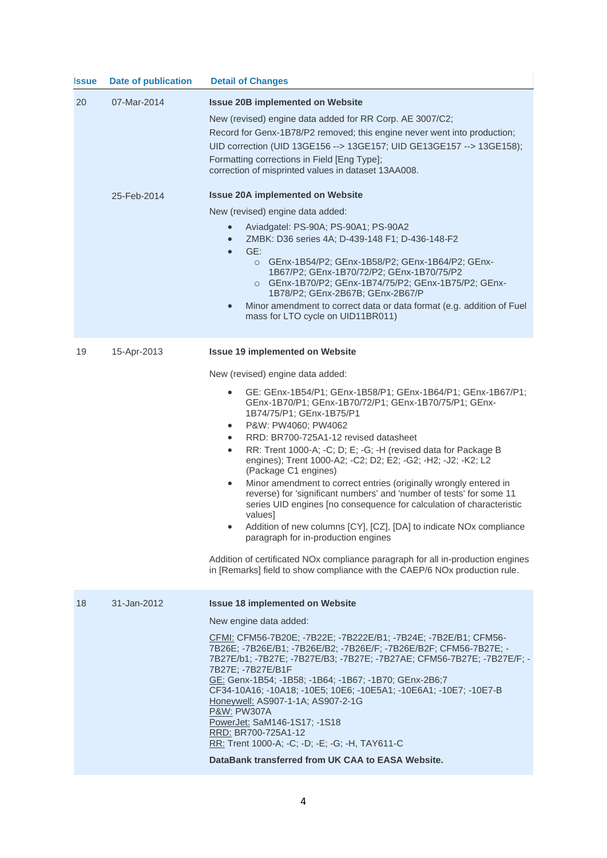| <b>Issue</b> | <b>Date of publication</b> | <b>Detail of Changes</b>                                                                                                                                                                                                                                                                                                                                                                                                                                                                                                                                                                                                                                                                                                                                                                                                                                                                                                                                                                                                                              |
|--------------|----------------------------|-------------------------------------------------------------------------------------------------------------------------------------------------------------------------------------------------------------------------------------------------------------------------------------------------------------------------------------------------------------------------------------------------------------------------------------------------------------------------------------------------------------------------------------------------------------------------------------------------------------------------------------------------------------------------------------------------------------------------------------------------------------------------------------------------------------------------------------------------------------------------------------------------------------------------------------------------------------------------------------------------------------------------------------------------------|
| 20           | 07-Mar-2014                | <b>Issue 20B implemented on Website</b><br>New (revised) engine data added for RR Corp. AE 3007/C2;<br>Record for Genx-1B78/P2 removed; this engine never went into production;<br>UID correction (UID 13GE156 --> 13GE157; UID GE13GE157 --> 13GE158);<br>Formatting corrections in Field [Eng Type];<br>correction of misprinted values in dataset 13AA008.                                                                                                                                                                                                                                                                                                                                                                                                                                                                                                                                                                                                                                                                                         |
|              | 25-Feb-2014                | <b>Issue 20A implemented on Website</b><br>New (revised) engine data added:<br>Aviadgatel: PS-90A; PS-90A1; PS-90A2<br>$\bullet$<br>ZMBK: D36 series 4A; D-439-148 F1; D-436-148-F2<br>$\bullet$<br>GE:<br>$\bullet$<br>O GEnx-1B54/P2; GEnx-1B58/P2; GEnx-1B64/P2; GEnx-<br>1B67/P2; GEnx-1B70/72/P2; GEnx-1B70/75/P2<br>O GEnx-1B70/P2; GEnx-1B74/75/P2; GEnx-1B75/P2; GEnx-<br>1B78/P2; GEnx-2B67B; GEnx-2B67/P<br>Minor amendment to correct data or data format (e.g. addition of Fuel<br>$\bullet$<br>mass for LTO cycle on UID11BR011)                                                                                                                                                                                                                                                                                                                                                                                                                                                                                                         |
| 19           | 15-Apr-2013                | <b>Issue 19 implemented on Website</b><br>New (revised) engine data added:<br>GE: GEnx-1B54/P1; GEnx-1B58/P1; GEnx-1B64/P1; GEnx-1B67/P1;<br>$\bullet$<br>GEnx-1B70/P1; GEnx-1B70/72/P1; GEnx-1B70/75/P1; GEnx-<br>1B74/75/P1; GEnx-1B75/P1<br>P&W: PW4060; PW4062<br>$\bullet$<br>RRD: BR700-725A1-12 revised datasheet<br>$\bullet$<br>RR: Trent 1000-A; -C; D; E; -G; -H (revised data for Package B<br>$\bullet$<br>engines); Trent 1000-A2; -C2; D2; E2; -G2; -H2; -J2; -K2; L2<br>(Package C1 engines)<br>Minor amendment to correct entries (originally wrongly entered in<br>$\bullet$<br>reverse) for 'significant numbers' and 'number of tests' for some 11<br>series UID engines [no consequence for calculation of characteristic<br>values]<br>Addition of new columns [CY], [CZ], [DA] to indicate NOx compliance<br>$\bullet$<br>paragraph for in-production engines<br>Addition of certificated NOx compliance paragraph for all in-production engines<br>in [Remarks] field to show compliance with the CAEP/6 NOx production rule. |
| 18           | 31-Jan-2012                | <b>Issue 18 implemented on Website</b><br>New engine data added:<br>CFMI: CFM56-7B20E; -7B22E; -7B222E/B1; -7B24E; -7B2E/B1; CFM56-<br>7B26E; -7B26E/B1; -7B26E/B2; -7B26E/F; -7B26E/B2F; CFM56-7B27E; -<br>7B27E/b1; -7B27E; -7B27E/B3; -7B27E; -7B27AE; CFM56-7B27E; -7B27E/F; -<br>7B27E; - 7B27E/B1F<br>GE: Genx-1B54; -1B58; -1B64; -1B67; -1B70; GEnx-2B6;7<br>CF34-10A16; -10A18; -10E5; 10E6; -10E5A1; -10E6A1; -10E7; -10E7-B<br>Honeywell: AS907-1-1A; AS907-2-1G<br>P&W: PW307A<br>PowerJet: SaM146-1S17; -1S18<br>RRD: BR700-725A1-12<br>RR: Trent 1000-A; -C; -D; -E; -G; -H, TAY611-C<br>DataBank transferred from UK CAA to EASA Website.                                                                                                                                                                                                                                                                                                                                                                                              |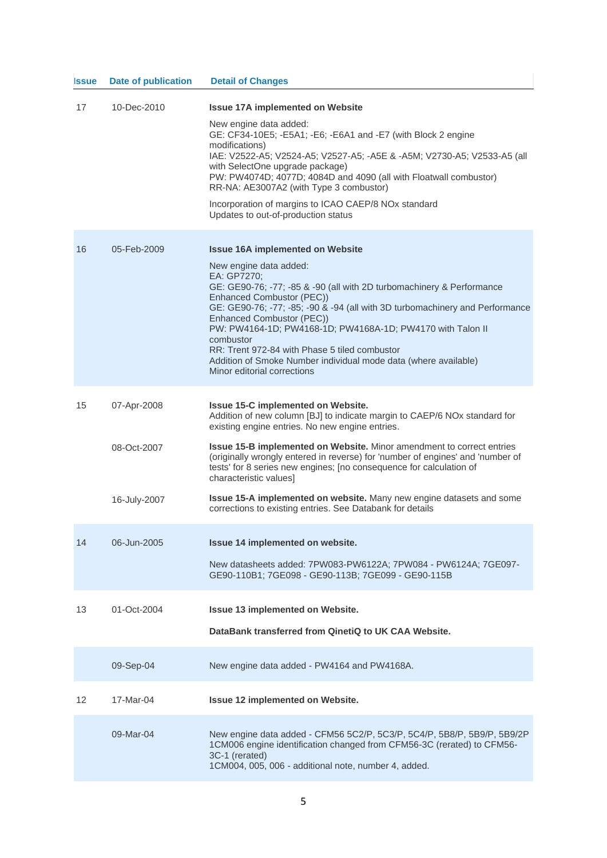| <b>Issue</b> | <b>Date of publication</b>                 | <b>Detail of Changes</b>                                                                                                                                                                                                                                                                                                                                                                                                                                                                                                                                                   |
|--------------|--------------------------------------------|----------------------------------------------------------------------------------------------------------------------------------------------------------------------------------------------------------------------------------------------------------------------------------------------------------------------------------------------------------------------------------------------------------------------------------------------------------------------------------------------------------------------------------------------------------------------------|
| 17           | 10-Dec-2010                                | <b>Issue 17A implemented on Website</b><br>New engine data added:<br>GE: CF34-10E5; -E5A1; -E6; -E6A1 and -E7 (with Block 2 engine<br>modifications)<br>IAE: V2522-A5; V2524-A5; V2527-A5; -A5E & -A5M; V2730-A5; V2533-A5 (all<br>with SelectOne upgrade package)<br>PW: PW4074D; 4077D; 4084D and 4090 (all with Floatwall combustor)<br>RR-NA: AE3007A2 (with Type 3 combustor)<br>Incorporation of margins to ICAO CAEP/8 NOx standard<br>Updates to out-of-production status                                                                                          |
| 16           | 05-Feb-2009                                | <b>Issue 16A implemented on Website</b><br>New engine data added:<br>EA: GP7270;<br>GE: GE90-76; -77; -85 & -90 (all with 2D turbomachinery & Performance<br>Enhanced Combustor (PEC))<br>GE: GE90-76; -77; -85; -90 & -94 (all with 3D turbomachinery and Performance<br>Enhanced Combustor (PEC))<br>PW: PW4164-1D; PW4168-1D; PW4168A-1D; PW4170 with Talon II<br>combustor<br>RR: Trent 972-84 with Phase 5 tiled combustor<br>Addition of Smoke Number individual mode data (where available)<br>Minor editorial corrections                                          |
| 15           | 07-Apr-2008<br>08-Oct-2007<br>16-July-2007 | Issue 15-C implemented on Website.<br>Addition of new column [BJ] to indicate margin to CAEP/6 NOx standard for<br>existing engine entries. No new engine entries.<br><b>Issue 15-B implemented on Website.</b> Minor amendment to correct entries<br>(originally wrongly entered in reverse) for 'number of engines' and 'number of<br>tests' for 8 series new engines; [no consequence for calculation of<br>characteristic values]<br>Issue 15-A implemented on website. Many new engine datasets and some<br>corrections to existing entries. See Databank for details |
| 14           | 06-Jun-2005                                | Issue 14 implemented on website.<br>New datasheets added: 7PW083-PW6122A; 7PW084 - PW6124A; 7GE097-<br>GE90-110B1; 7GE098 - GE90-113B; 7GE099 - GE90-115B                                                                                                                                                                                                                                                                                                                                                                                                                  |
| 13           | 01-Oct-2004                                | <b>Issue 13 implemented on Website.</b><br>DataBank transferred from QinetiQ to UK CAA Website.                                                                                                                                                                                                                                                                                                                                                                                                                                                                            |
|              | 09-Sep-04                                  | New engine data added - PW4164 and PW4168A.                                                                                                                                                                                                                                                                                                                                                                                                                                                                                                                                |
| 12           | 17-Mar-04                                  | Issue 12 implemented on Website.                                                                                                                                                                                                                                                                                                                                                                                                                                                                                                                                           |
|              | 09-Mar-04                                  | New engine data added - CFM56 5C2/P, 5C3/P, 5C4/P, 5B8/P, 5B9/P, 5B9/2P<br>1CM006 engine identification changed from CFM56-3C (rerated) to CFM56-<br>3C-1 (rerated)<br>1CM004, 005, 006 - additional note, number 4, added.                                                                                                                                                                                                                                                                                                                                                |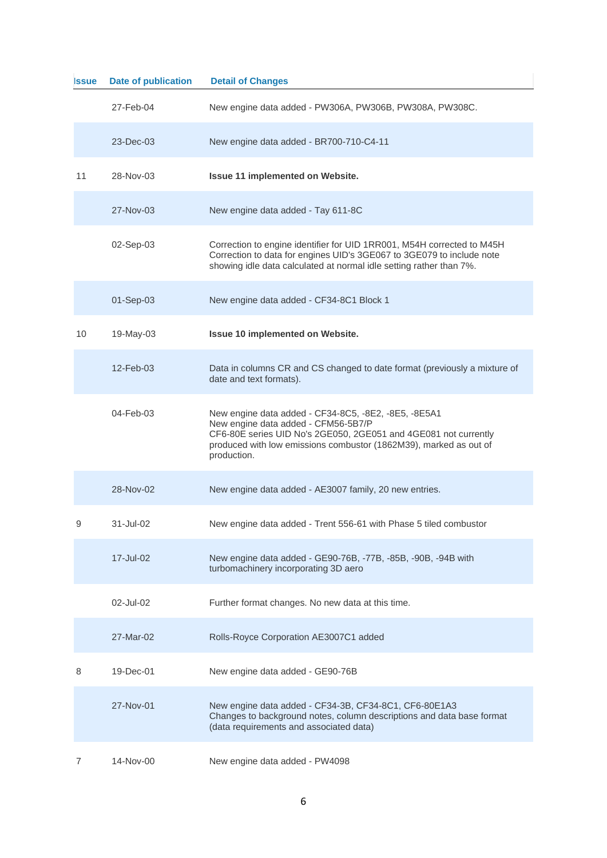| <b>Issue</b> | <b>Date of publication</b> | <b>Detail of Changes</b>                                                                                                                                                                                                                           |
|--------------|----------------------------|----------------------------------------------------------------------------------------------------------------------------------------------------------------------------------------------------------------------------------------------------|
|              | 27-Feb-04                  | New engine data added - PW306A, PW306B, PW308A, PW308C.                                                                                                                                                                                            |
|              | 23-Dec-03                  | New engine data added - BR700-710-C4-11                                                                                                                                                                                                            |
| 11           | 28-Nov-03                  | Issue 11 implemented on Website.                                                                                                                                                                                                                   |
|              | 27-Nov-03                  | New engine data added - Tay 611-8C                                                                                                                                                                                                                 |
|              | 02-Sep-03                  | Correction to engine identifier for UID 1RR001, M54H corrected to M45H<br>Correction to data for engines UID's 3GE067 to 3GE079 to include note<br>showing idle data calculated at normal idle setting rather than 7%.                             |
|              | 01-Sep-03                  | New engine data added - CF34-8C1 Block 1                                                                                                                                                                                                           |
| 10           | 19-May-03                  | Issue 10 implemented on Website.                                                                                                                                                                                                                   |
|              | $12$ -Feb-03               | Data in columns CR and CS changed to date format (previously a mixture of<br>date and text formats).                                                                                                                                               |
|              | 04-Feb-03                  | New engine data added - CF34-8C5, -8E2, -8E5, -8E5A1<br>New engine data added - CFM56-5B7/P<br>CF6-80E series UID No's 2GE050, 2GE051 and 4GE081 not currently<br>produced with low emissions combustor (1862M39), marked as out of<br>production. |
|              | 28-Nov-02                  | New engine data added - AE3007 family, 20 new entries.                                                                                                                                                                                             |
| 9            | 31-Jul-02                  | New engine data added - Trent 556-61 with Phase 5 tiled combustor                                                                                                                                                                                  |
|              | 17-Jul-02                  | New engine data added - GE90-76B, -77B, -85B, -90B, -94B with<br>turbomachinery incorporating 3D aero                                                                                                                                              |
|              | 02-Jul-02                  | Further format changes. No new data at this time.                                                                                                                                                                                                  |
|              | 27-Mar-02                  | Rolls-Royce Corporation AE3007C1 added                                                                                                                                                                                                             |
| 8            | $19$ -Dec-01               | New engine data added - GE90-76B                                                                                                                                                                                                                   |
|              | 27-Nov-01                  | New engine data added - CF34-3B, CF34-8C1, CF6-80E1A3<br>Changes to background notes, column descriptions and data base format<br>(data requirements and associated data)                                                                          |
|              | 14-Nov-00                  | New engine data added - PW4098                                                                                                                                                                                                                     |